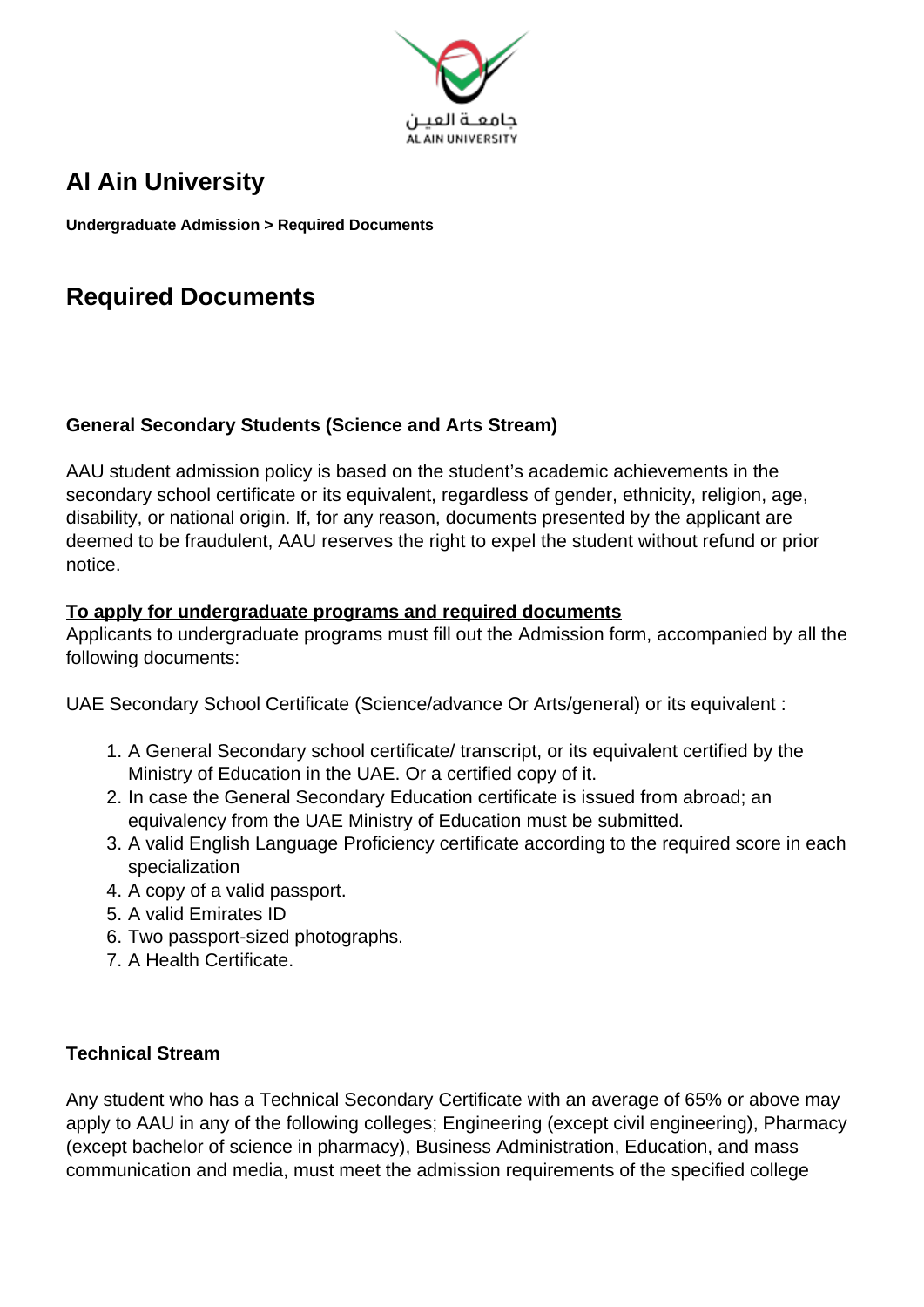

# **Al Ain University**

**Undergraduate Admission > Required Documents**

# **Required Documents**

### **General Secondary Students (Science and Arts Stream)**

AAU student admission policy is based on the student's academic achievements in the secondary school certificate or its equivalent, regardless of gender, ethnicity, religion, age, disability, or national origin. If, for any reason, documents presented by the applicant are deemed to be fraudulent, AAU reserves the right to expel the student without refund or prior notice.

#### **To apply for undergraduate programs and required documents**

Applicants to undergraduate programs must fill out the Admission form, accompanied by all the following documents:

UAE Secondary School Certificate (Science/advance Or Arts/general) or its equivalent :

- 1. A General Secondary school certificate/ transcript, or its equivalent certified by the Ministry of Education in the UAE. Or a certified copy of it.
- 2. In case the General Secondary Education certificate is issued from abroad; an equivalency from the UAE Ministry of Education must be submitted.
- 3. A valid English Language Proficiency certificate according to the required score in each specialization
- 4. A copy of a valid passport.
- 5. A valid Emirates ID
- 6. Two passport-sized photographs.
- 7. A Health Certificate.

### **Technical Stream**

Any student who has a Technical Secondary Certificate with an average of 65% or above may apply to AAU in any of the following colleges; Engineering (except civil engineering), Pharmacy (except bachelor of science in pharmacy), Business Administration, Education, and mass communication and media, must meet the admission requirements of the specified college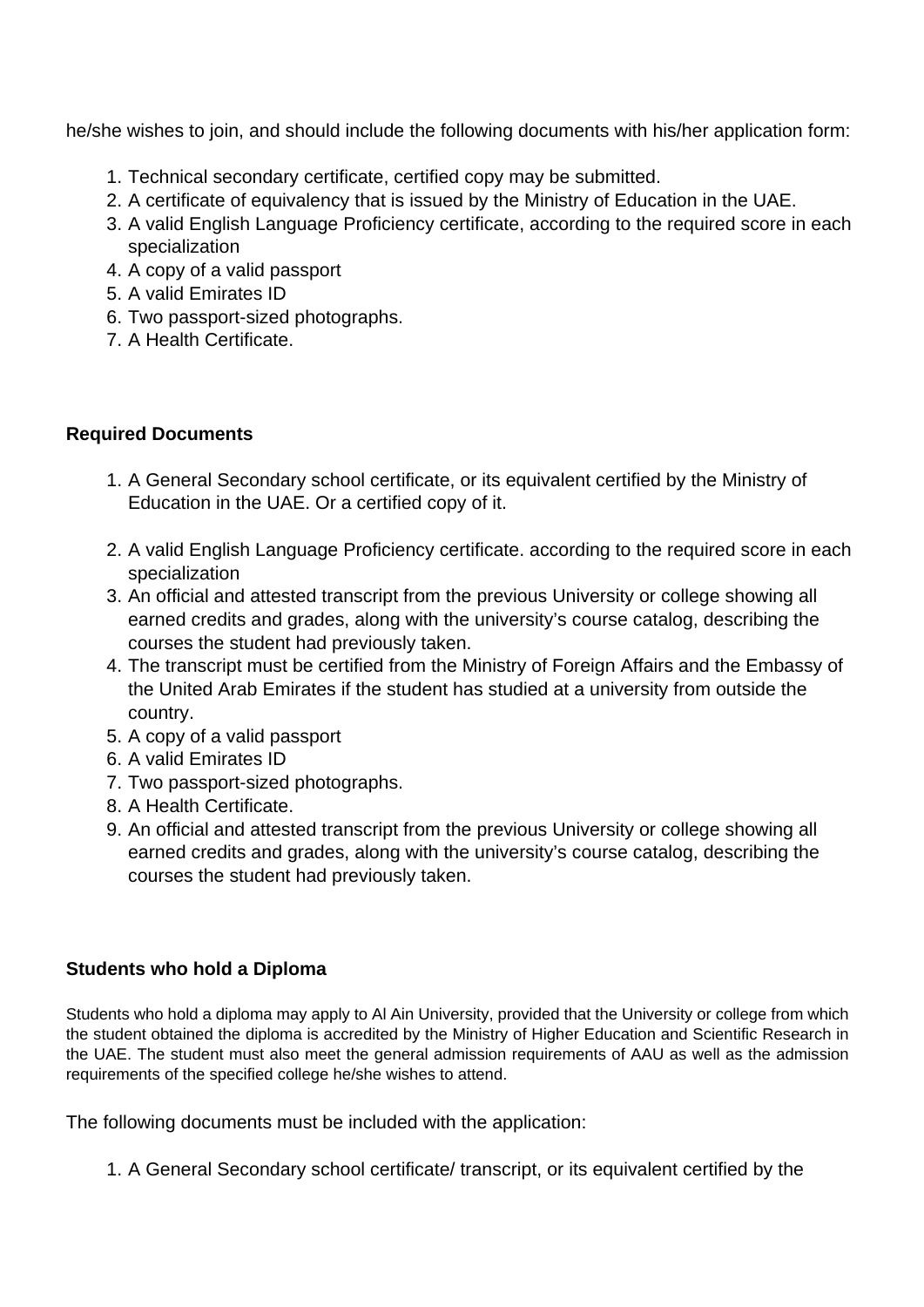he/she wishes to join, and should include the following documents with his/her application form:

- 1. Technical secondary certificate, certified copy may be submitted.
- 2. A certificate of equivalency that is issued by the Ministry of Education in the UAE.
- 3. A valid English Language Proficiency certificate, according to the required score in each specialization
- 4. A copy of a valid passport
- 5. A valid Emirates ID
- 6. Two passport-sized photographs.
- 7. A Health Certificate.

## **Required Documents**

- 1. A General Secondary school certificate, or its equivalent certified by the Ministry of Education in the UAE. Or a certified copy of it.
- 2. A valid English Language Proficiency certificate. according to the required score in each specialization
- 3. An official and attested transcript from the previous University or college showing all earned credits and grades, along with the university's course catalog, describing the courses the student had previously taken.
- 4. The transcript must be certified from the Ministry of Foreign Affairs and the Embassy of the United Arab Emirates if the student has studied at a university from outside the country.
- 5. A copy of a valid passport
- 6. A valid Emirates ID
- 7. Two passport-sized photographs.
- 8. A Health Certificate.
- 9. An official and attested transcript from the previous University or college showing all earned credits and grades, along with the university's course catalog, describing the courses the student had previously taken.

### **Students who hold a Diploma**

Students who hold a diploma may apply to Al Ain University, provided that the University or college from which the student obtained the diploma is accredited by the Ministry of Higher Education and Scientific Research in the UAE. The student must also meet the general admission requirements of AAU as well as the admission requirements of the specified college he/she wishes to attend.

The following documents must be included with the application:

1. A General Secondary school certificate/ transcript, or its equivalent certified by the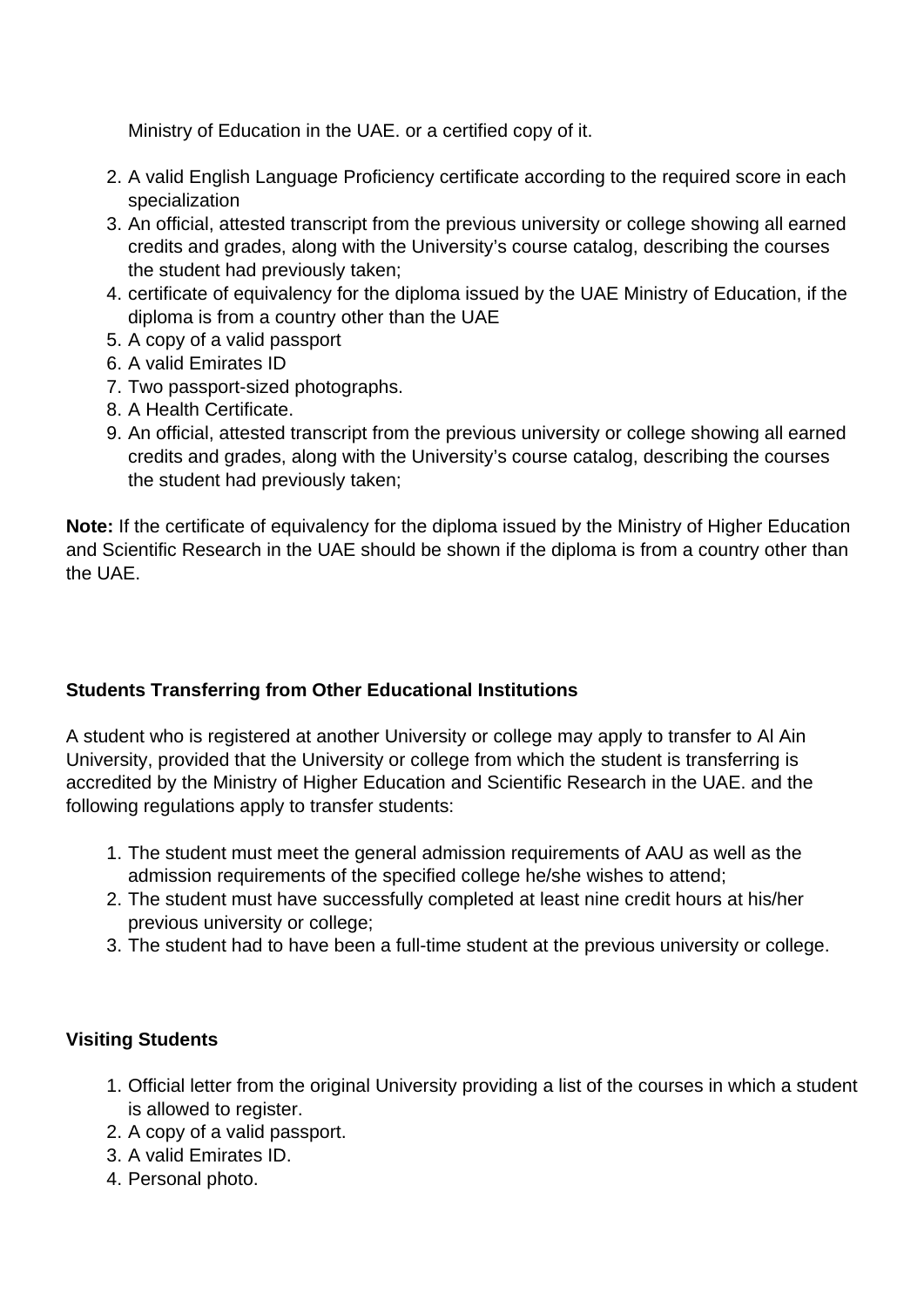Ministry of Education in the UAE. or a certified copy of it.

- 2. A valid English Language Proficiency certificate according to the required score in each specialization
- 3. An official, attested transcript from the previous university or college showing all earned credits and grades, along with the University's course catalog, describing the courses the student had previously taken;
- 4. certificate of equivalency for the diploma issued by the UAE Ministry of Education, if the diploma is from a country other than the UAE
- 5. A copy of a valid passport
- 6. A valid Emirates ID
- 7. Two passport-sized photographs.
- 8. A Health Certificate.
- 9. An official, attested transcript from the previous university or college showing all earned credits and grades, along with the University's course catalog, describing the courses the student had previously taken;

**Note:** If the certificate of equivalency for the diploma issued by the Ministry of Higher Education and Scientific Research in the UAE should be shown if the diploma is from a country other than the UAE.

## **Students Transferring from Other Educational Institutions**

A student who is registered at another University or college may apply to transfer to Al Ain University, provided that the University or college from which the student is transferring is accredited by the Ministry of Higher Education and Scientific Research in the UAE. and the following regulations apply to transfer students:

- 1. The student must meet the general admission requirements of AAU as well as the admission requirements of the specified college he/she wishes to attend;
- 2. The student must have successfully completed at least nine credit hours at his/her previous university or college;
- 3. The student had to have been a full-time student at the previous university or college.

## **Visiting Students**

- 1. Official letter from the original University providing a list of the courses in which a student is allowed to register.
- 2. A copy of a valid passport.
- 3. A valid Emirates ID.
- 4. Personal photo.